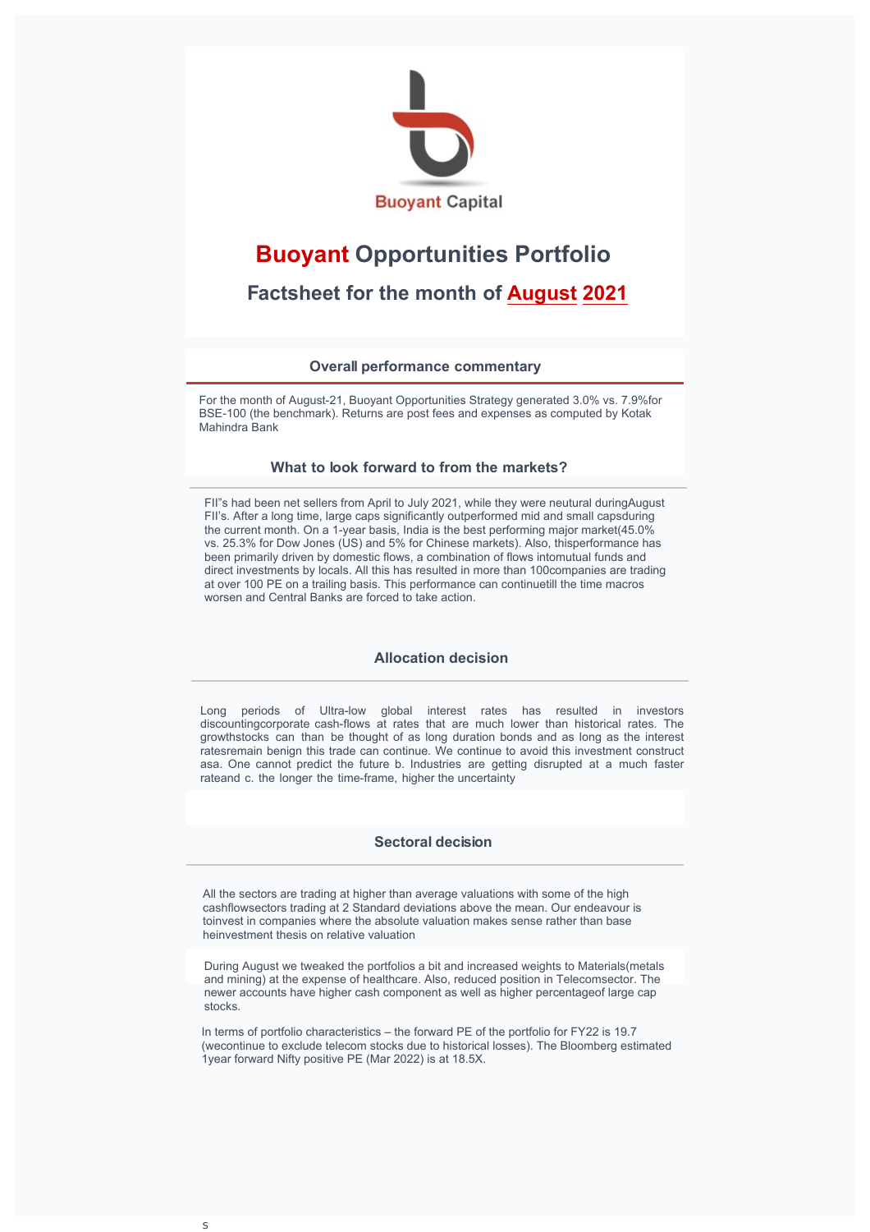

# **Buoyant Opportunities Portfolio**

 **Factsheet for the month of ecem er 2020** 

**Overall performance commentary**

#### **What to look forward to from the markets?**

2020 was like the harles ickens novel, A ale of two cities, It was the est of times, it was the worst of times lndia ended 2020 as one of the etter performing markets for  **2020 despite one of the lowest cash stimulus packages and one of the highest P** declines in the une uarter FII s continue to uy into Indian markets and the large cap companies despite the valuations eing at highest ever ontrary to perception, small ap lnde has under-performed over the last months y 2 omestic institutions were large sellers due to continued very high MF redemptions for ec At the same time demat account openings continue to e ro ust Our hypothesis is that there is a reversal ie money moving out of institutional investing ack to I investing

## **Allocation decision**

We continue to look for value in a market that is trading at 100 percentile 20 years in terms of oth historic and forward multiples ie markets have not traded at these multiples since the last 20 years We don t elieve that rowth at any pirce and uality at Any price will deliver superior returns over the long term A great company is not necessarily **a** good investment

For most of ecem er we weere close to fullly invested, towards end of the month we increased the cash levels and we are now at over cash Small and mid caps are now **increased the cash levels and we are now at over at caps of the portfolio as there are still pockets of** of the portfolio as there are still pockets of value in this space Over 0 of FII investments are in op 100 stocks and the large FII uying over the last uarter of 2020 has resulted in large caps ecoming more e pensive if we get into a risk-off mode, increasing the cash levels is likely to e the preferred mode

**Sectoral decision**